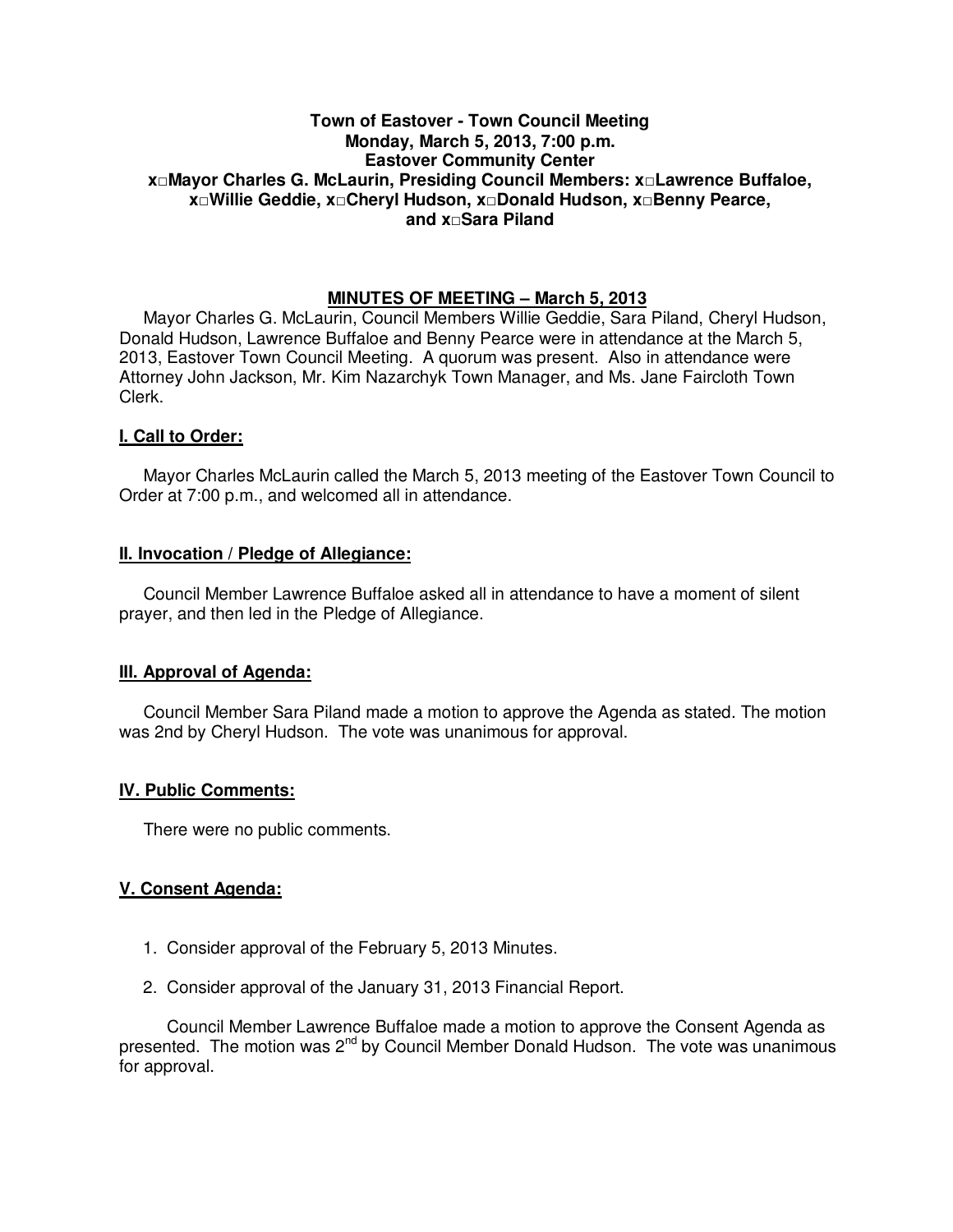# **Town of Eastover - Town Council Meeting Monday, March 5, 2013, 7:00 p.m. Eastover Community Center x□Mayor Charles G. McLaurin, Presiding Council Members: x□Lawrence Buffaloe, x□Willie Geddie, x□Cheryl Hudson, x□Donald Hudson, x□Benny Pearce, and x□Sara Piland**

# **MINUTES OF MEETING – March 5, 2013**

Mayor Charles G. McLaurin, Council Members Willie Geddie, Sara Piland, Cheryl Hudson, Donald Hudson, Lawrence Buffaloe and Benny Pearce were in attendance at the March 5, 2013, Eastover Town Council Meeting. A quorum was present. Also in attendance were Attorney John Jackson, Mr. Kim Nazarchyk Town Manager, and Ms. Jane Faircloth Town Clerk.

## **I. Call to Order:**

Mayor Charles McLaurin called the March 5, 2013 meeting of the Eastover Town Council to Order at 7:00 p.m., and welcomed all in attendance.

## **II. Invocation / Pledge of Allegiance:**

 Council Member Lawrence Buffaloe asked all in attendance to have a moment of silent prayer, and then led in the Pledge of Allegiance.

# **III. Approval of Agenda:**

 Council Member Sara Piland made a motion to approve the Agenda as stated. The motion was 2nd by Cheryl Hudson. The vote was unanimous for approval.

## **IV. Public Comments:**

There were no public comments.

## **V. Consent Agenda:**

- 1. Consider approval of the February 5, 2013 Minutes.
- 2. Consider approval of the January 31, 2013 Financial Report.

 Council Member Lawrence Buffaloe made a motion to approve the Consent Agenda as presented. The motion was 2<sup>nd</sup> by Council Member Donald Hudson. The vote was unanimous for approval.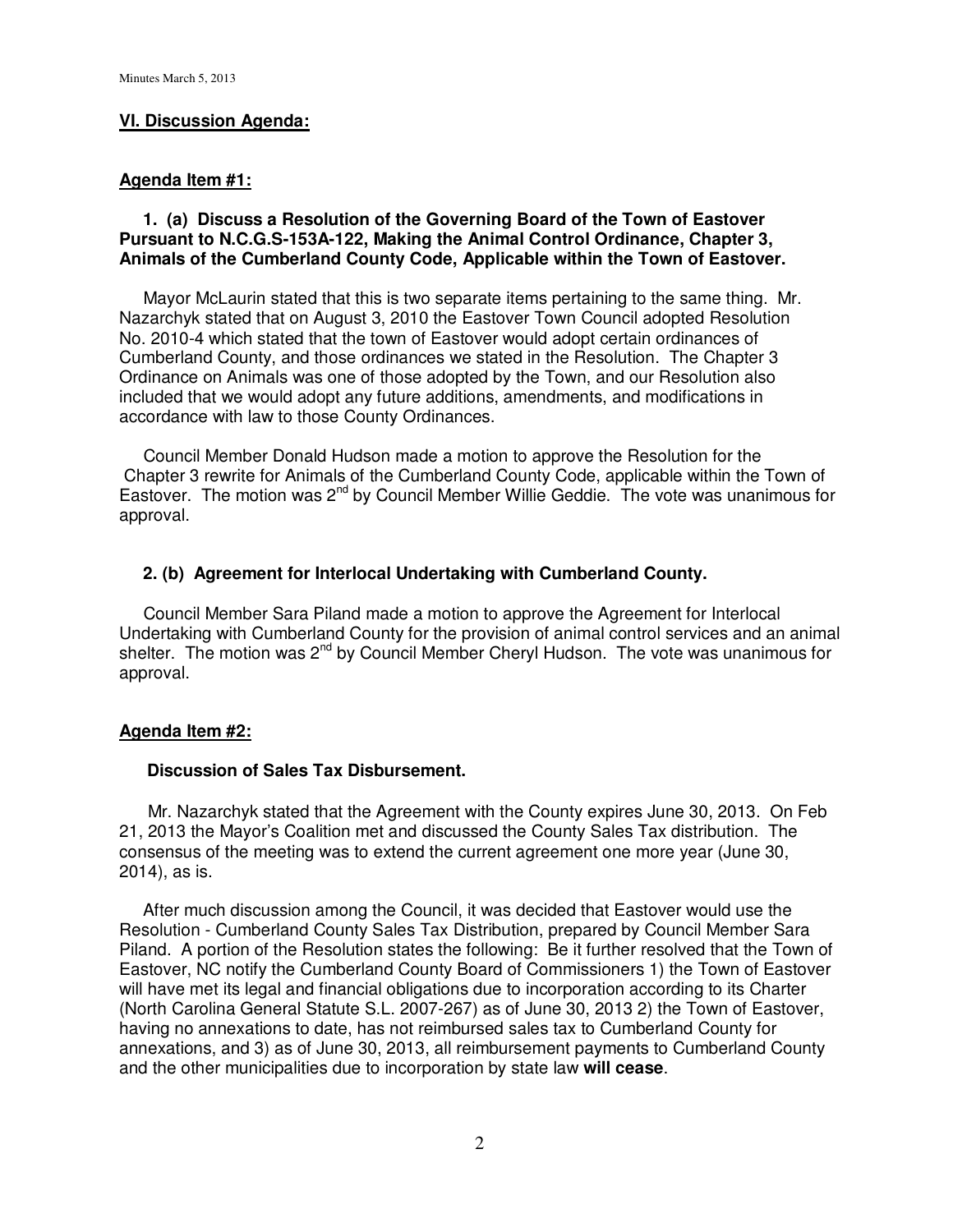# **VI. Discussion Agenda:**

## **Agenda Item #1:**

# **1. (a) Discuss a Resolution of the Governing Board of the Town of Eastover Pursuant to N.C.G.S-153A-122, Making the Animal Control Ordinance, Chapter 3, Animals of the Cumberland County Code, Applicable within the Town of Eastover.**

Mayor McLaurin stated that this is two separate items pertaining to the same thing. Mr. Nazarchyk stated that on August 3, 2010 the Eastover Town Council adopted Resolution No. 2010-4 which stated that the town of Eastover would adopt certain ordinances of Cumberland County, and those ordinances we stated in the Resolution. The Chapter 3 Ordinance on Animals was one of those adopted by the Town, and our Resolution also included that we would adopt any future additions, amendments, and modifications in accordance with law to those County Ordinances.

 Council Member Donald Hudson made a motion to approve the Resolution for the Chapter 3 rewrite for Animals of the Cumberland County Code, applicable within the Town of Eastover. The motion was  $2^{nd}$  by Council Member Willie Geddie. The vote was unanimous for approval.

# **2. (b) Agreement for Interlocal Undertaking with Cumberland County.**

Council Member Sara Piland made a motion to approve the Agreement for Interlocal Undertaking with Cumberland County for the provision of animal control services and an animal shelter. The motion was  $2^{nd}$  by Council Member Cheryl Hudson. The vote was unanimous for approval.

## **Agenda Item #2:**

# **Discussion of Sales Tax Disbursement.**

 Mr. Nazarchyk stated that the Agreement with the County expires June 30, 2013. On Feb 21, 2013 the Mayor's Coalition met and discussed the County Sales Tax distribution. The consensus of the meeting was to extend the current agreement one more year (June 30, 2014), as is.

 After much discussion among the Council, it was decided that Eastover would use the Resolution - Cumberland County Sales Tax Distribution, prepared by Council Member Sara Piland. A portion of the Resolution states the following: Be it further resolved that the Town of Eastover, NC notify the Cumberland County Board of Commissioners 1) the Town of Eastover will have met its legal and financial obligations due to incorporation according to its Charter (North Carolina General Statute S.L. 2007-267) as of June 30, 2013 2) the Town of Eastover, having no annexations to date, has not reimbursed sales tax to Cumberland County for annexations, and 3) as of June 30, 2013, all reimbursement payments to Cumberland County and the other municipalities due to incorporation by state law **will cease**.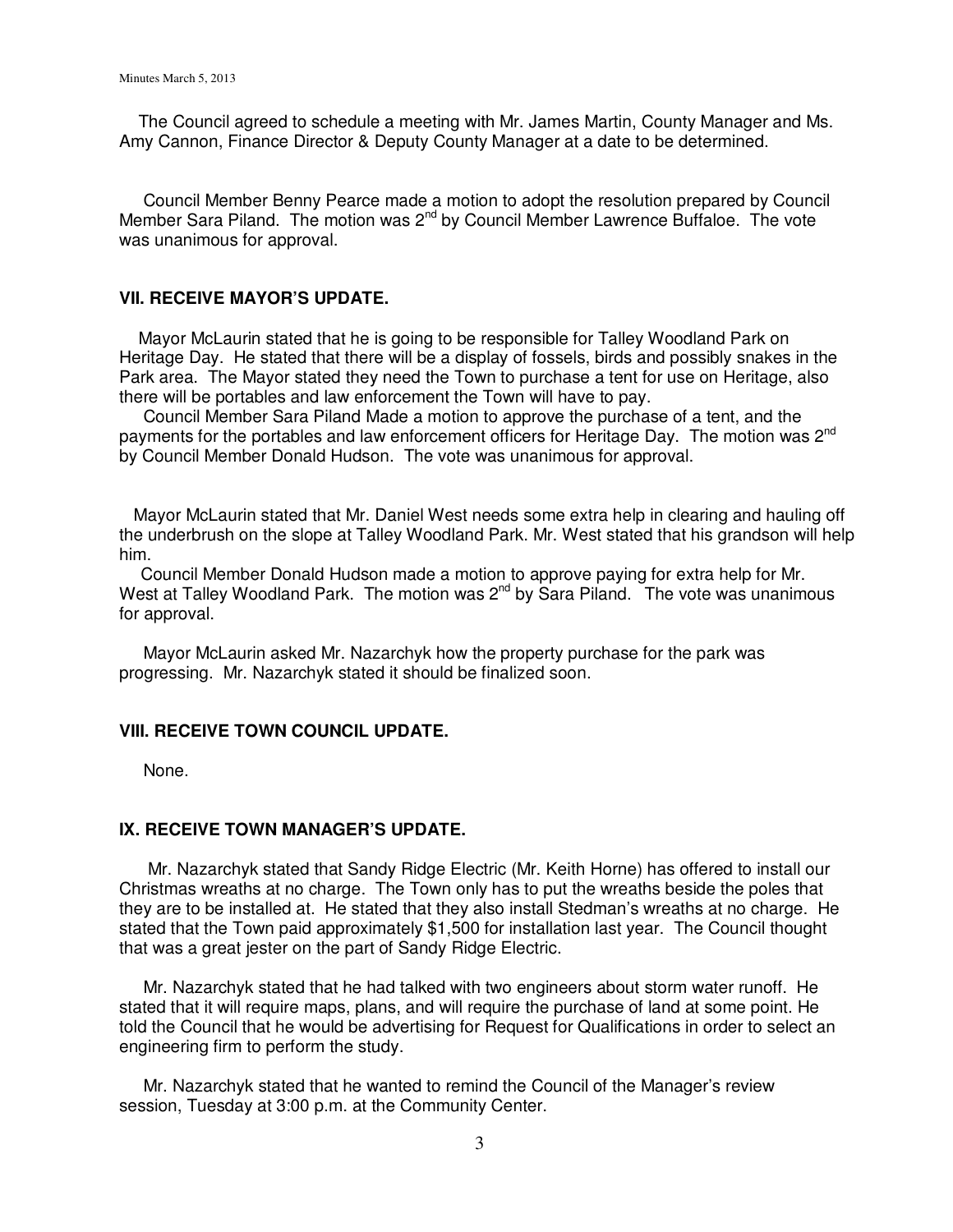The Council agreed to schedule a meeting with Mr. James Martin, County Manager and Ms. Amy Cannon, Finance Director & Deputy County Manager at a date to be determined.

 Council Member Benny Pearce made a motion to adopt the resolution prepared by Council Member Sara Piland. The motion was  $2^{nd}$  by Council Member Lawrence Buffaloe. The vote was unanimous for approval.

#### **VII. RECEIVE MAYOR'S UPDATE.**

 Mayor McLaurin stated that he is going to be responsible for Talley Woodland Park on Heritage Day. He stated that there will be a display of fossels, birds and possibly snakes in the Park area. The Mayor stated they need the Town to purchase a tent for use on Heritage, also there will be portables and law enforcement the Town will have to pay.

 Council Member Sara Piland Made a motion to approve the purchase of a tent, and the payments for the portables and law enforcement officers for Heritage Day. The motion was 2<sup>nd</sup> by Council Member Donald Hudson. The vote was unanimous for approval.

 Mayor McLaurin stated that Mr. Daniel West needs some extra help in clearing and hauling off the underbrush on the slope at Talley Woodland Park. Mr. West stated that his grandson will help him.

Council Member Donald Hudson made a motion to approve paying for extra help for Mr. West at Talley Woodland Park. The motion was 2<sup>nd</sup> by Sara Piland. The vote was unanimous for approval.

 Mayor McLaurin asked Mr. Nazarchyk how the property purchase for the park was progressing. Mr. Nazarchyk stated it should be finalized soon.

#### **VIII. RECEIVE TOWN COUNCIL UPDATE.**

None.

#### **IX. RECEIVE TOWN MANAGER'S UPDATE.**

 Mr. Nazarchyk stated that Sandy Ridge Electric (Mr. Keith Horne) has offered to install our Christmas wreaths at no charge. The Town only has to put the wreaths beside the poles that they are to be installed at. He stated that they also install Stedman's wreaths at no charge. He stated that the Town paid approximately \$1,500 for installation last year. The Council thought that was a great jester on the part of Sandy Ridge Electric.

 Mr. Nazarchyk stated that he had talked with two engineers about storm water runoff. He stated that it will require maps, plans, and will require the purchase of land at some point. He told the Council that he would be advertising for Request for Qualifications in order to select an engineering firm to perform the study.

 Mr. Nazarchyk stated that he wanted to remind the Council of the Manager's review session, Tuesday at 3:00 p.m. at the Community Center.